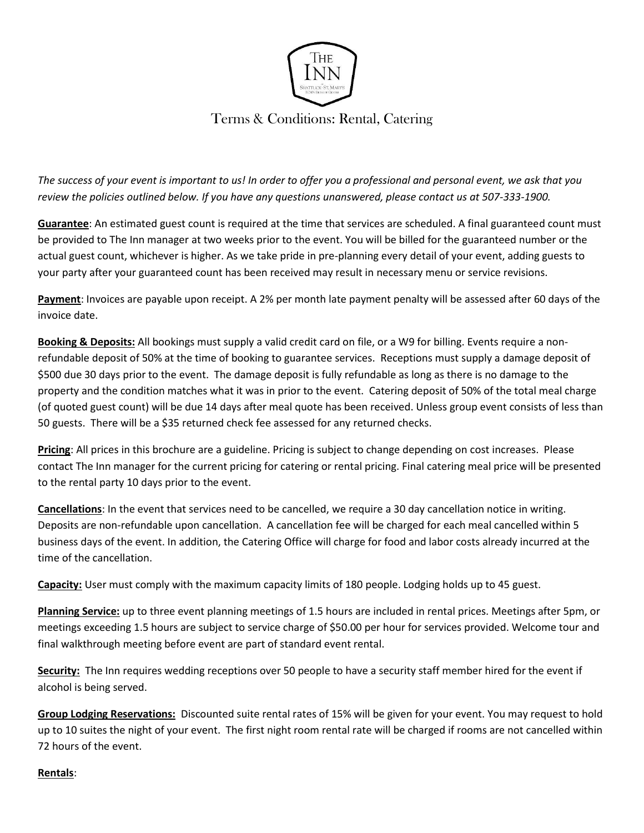

## Terms & Conditions: Rental, Catering

*The success of your event is important to us! In order to offer you a professional and personal event, we ask that you review the policies outlined below. If you have any questions unanswered, please contact us at 507-333-1900.*

**Guarantee**: An estimated guest count is required at the time that services are scheduled. A final guaranteed count must be provided to The Inn manager at two weeks prior to the event. You will be billed for the guaranteed number or the actual guest count, whichever is higher. As we take pride in pre-planning every detail of your event, adding guests to your party after your guaranteed count has been received may result in necessary menu or service revisions.

**Payment**: Invoices are payable upon receipt. A 2% per month late payment penalty will be assessed after 60 days of the invoice date.

**Booking & Deposits:** All bookings must supply a valid credit card on file, or a W9 for billing. Events require a nonrefundable deposit of 50% at the time of booking to guarantee services. Receptions must supply a damage deposit of \$500 due 30 days prior to the event. The damage deposit is fully refundable as long as there is no damage to the property and the condition matches what it was in prior to the event. Catering deposit of 50% of the total meal charge (of quoted guest count) will be due 14 days after meal quote has been received. Unless group event consists of less than 50 guests. There will be a \$35 returned check fee assessed for any returned checks.

**Pricing**: All prices in this brochure are a guideline. Pricing is subject to change depending on cost increases. Please contact The Inn manager for the current pricing for catering or rental pricing. Final catering meal price will be presented to the rental party 10 days prior to the event.

**Cancellations**: In the event that services need to be cancelled, we require a 30 day cancellation notice in writing. Deposits are non-refundable upon cancellation. A cancellation fee will be charged for each meal cancelled within 5 business days of the event. In addition, the Catering Office will charge for food and labor costs already incurred at the time of the cancellation.

**Capacity:** User must comply with the maximum capacity limits of 180 people. Lodging holds up to 45 guest.

**Planning Service:** up to three event planning meetings of 1.5 hours are included in rental prices. Meetings after 5pm, or meetings exceeding 1.5 hours are subject to service charge of \$50.00 per hour for services provided. Welcome tour and final walkthrough meeting before event are part of standard event rental.

**Security:** The Inn requires wedding receptions over 50 people to have a security staff member hired for the event if alcohol is being served.

**Group Lodging Reservations:** Discounted suite rental rates of 15% will be given for your event. You may request to hold up to 10 suites the night of your event. The first night room rental rate will be charged if rooms are not cancelled within 72 hours of the event.

## **Rentals**: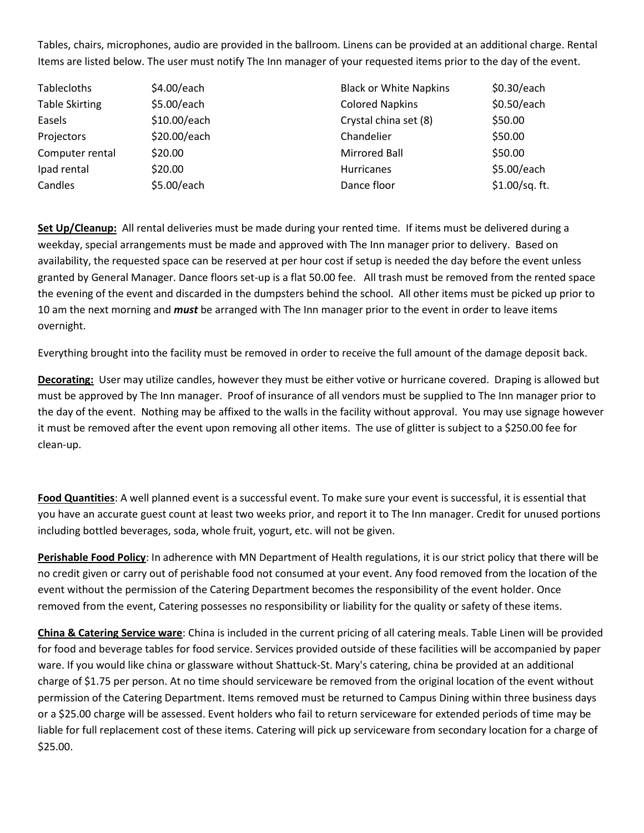Tables, chairs, microphones, audio are provided in the ballroom. Linens can be provided at an additional charge. Rental Items are listed below. The user must notify The Inn manager of your requested items prior to the day of the event.

| <b>Tablecloths</b>    | \$4.00/each  | <b>Black or White Napkins</b> | \$0.30/each     |
|-----------------------|--------------|-------------------------------|-----------------|
| <b>Table Skirting</b> | \$5.00/each  | <b>Colored Napkins</b>        | \$0.50/each     |
| Easels                | \$10.00/each | Crystal china set (8)         | \$50.00         |
| Projectors            | \$20.00/each | Chandelier                    | \$50.00         |
| Computer rental       | \$20.00      | Mirrored Ball                 | \$50.00         |
| Ipad rental           | \$20.00      | Hurricanes                    | \$5.00/each     |
| Candles               | \$5.00/each  | Dance floor                   | $$1.00/sq.$ ft. |

**Set Up/Cleanup:** All rental deliveries must be made during your rented time. If items must be delivered during a weekday, special arrangements must be made and approved with The Inn manager prior to delivery. Based on availability, the requested space can be reserved at per hour cost if setup is needed the day before the event unless granted by General Manager. Dance floors set-up is a flat 50.00 fee. All trash must be removed from the rented space the evening of the event and discarded in the dumpsters behind the school. All other items must be picked up prior to 10 am the next morning and *must* be arranged with The Inn manager prior to the event in order to leave items overnight.

Everything brought into the facility must be removed in order to receive the full amount of the damage deposit back.

**Decorating:** User may utilize candles, however they must be either votive or hurricane covered. Draping is allowed but must be approved by The Inn manager. Proof of insurance of all vendors must be supplied to The Inn manager prior to the day of the event. Nothing may be affixed to the walls in the facility without approval. You may use signage however it must be removed after the event upon removing all other items. The use of glitter is subject to a \$250.00 fee for clean-up.

**Food Quantities**: A well planned event is a successful event. To make sure your event is successful, it is essential that you have an accurate guest count at least two weeks prior, and report it to The Inn manager. Credit for unused portions including bottled beverages, soda, whole fruit, yogurt, etc. will not be given.

**Perishable Food Policy**: In adherence with MN Department of Health regulations, it is our strict policy that there will be no credit given or carry out of perishable food not consumed at your event. Any food removed from the location of the event without the permission of the Catering Department becomes the responsibility of the event holder. Once removed from the event, Catering possesses no responsibility or liability for the quality or safety of these items.

**China & Catering Service ware**: China is included in the current pricing of all catering meals. Table Linen will be provided for food and beverage tables for food service. Services provided outside of these facilities will be accompanied by paper ware. If you would like china or glassware without Shattuck-St. Mary's catering, china be provided at an additional charge of \$1.75 per person. At no time should serviceware be removed from the original location of the event without permission of the Catering Department. Items removed must be returned to Campus Dining within three business days or a \$25.00 charge will be assessed. Event holders who fail to return serviceware for extended periods of time may be liable for full replacement cost of these items. Catering will pick up serviceware from secondary location for a charge of \$25.00.